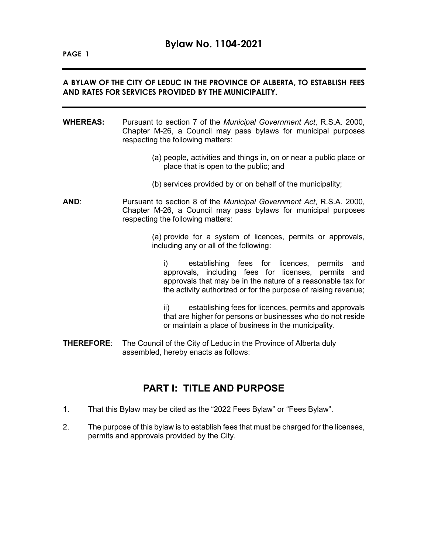### **A BYLAW OF THE CITY OF LEDUC IN THE PROVINCE OF ALBERTA, TO ESTABLISH FEES AND RATES FOR SERVICES PROVIDED BY THE MUNICIPALITY.**

- **WHEREAS:** Pursuant to section 7 of the *Municipal Government Act*, R.S.A. 2000, Chapter M-26, a Council may pass bylaws for municipal purposes respecting the following matters:
	- (a) people, activities and things in, on or near a public place or place that is open to the public; and
	- (b) services provided by or on behalf of the municipality;
- **AND**: Pursuant to section 8 of the *Municipal Government Act*, R.S.A. 2000, Chapter M-26, a Council may pass bylaws for municipal purposes respecting the following matters:

(a) provide for a system of licences, permits or approvals, including any or all of the following:

i) establishing fees for licences, permits and approvals, including fees for licenses, permits and approvals that may be in the nature of a reasonable tax for the activity authorized or for the purpose of raising revenue;

ii) establishing fees for licences, permits and approvals that are higher for persons or businesses who do not reside or maintain a place of business in the municipality.

**THEREFORE**: The Council of the City of Leduc in the Province of Alberta duly assembled, hereby enacts as follows:

## **PART I: TITLE AND PURPOSE**

- 1. That this Bylaw may be cited as the "2022 Fees Bylaw" or "Fees Bylaw".
- 2. The purpose of this bylaw is to establish fees that must be charged for the licenses, permits and approvals provided by the City.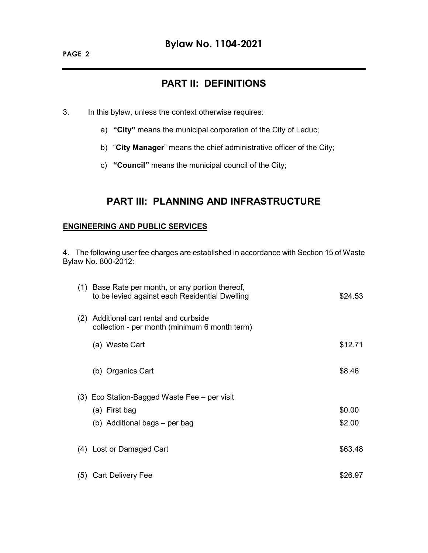# **PART II: DEFINITIONS**

- 3. In this bylaw, unless the context otherwise requires:
	- a) **"City"** means the municipal corporation of the City of Leduc;
	- b) "**City Manager**" means the chief administrative officer of the City;
	- c) **"Council"** means the municipal council of the City;

# **PART III: PLANNING AND INFRASTRUCTURE**

### **ENGINEERING AND PUBLIC SERVICES**

4. The following user fee charges are established in accordance with Section 15 of Waste Bylaw No. 800-2012:

|     | (1) Base Rate per month, or any portion thereof,<br>to be levied against each Residential Dwelling | \$24.53 |
|-----|----------------------------------------------------------------------------------------------------|---------|
| (2) | Additional cart rental and curbside<br>collection - per month (minimum 6 month term)               |         |
|     | (a) Waste Cart                                                                                     | \$12.71 |
|     | (b) Organics Cart                                                                                  | \$8.46  |
|     | (3) Eco Station-Bagged Waste Fee – per visit                                                       |         |
|     | (a) First bag                                                                                      | \$0.00  |
|     | (b) Additional bags – per bag                                                                      | \$2.00  |
|     | (4) Lost or Damaged Cart                                                                           | \$63.48 |
|     | (5) Cart Delivery Fee                                                                              | \$26.97 |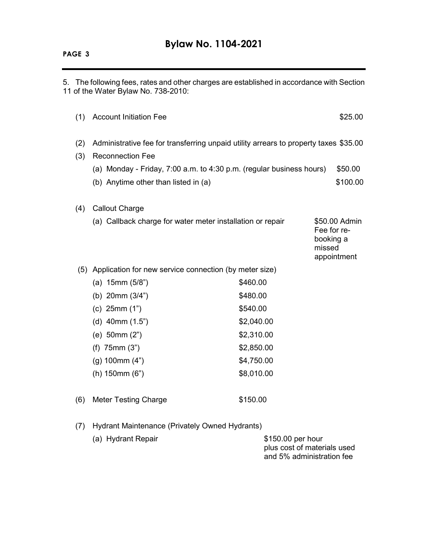#### **PAGE 3**

5. The following fees, rates and other charges are established in accordance with Section 11 of the Water Bylaw No. 738-2010:

| (1)        | <b>Account Initiation Fee</b>                                                                                   |            | \$25.00                                                            |
|------------|-----------------------------------------------------------------------------------------------------------------|------------|--------------------------------------------------------------------|
| (2)<br>(3) | Administrative fee for transferring unpaid utility arrears to property taxes \$35.00<br><b>Reconnection Fee</b> |            |                                                                    |
|            | (a) Monday - Friday, $7:00$ a.m. to $4:30$ p.m. (regular business hours)                                        |            | \$50.00                                                            |
|            | (b) Anytime other than listed in (a)                                                                            |            | \$100.00                                                           |
| (4)        | <b>Callout Charge</b>                                                                                           |            |                                                                    |
|            | (a) Callback charge for water meter installation or repair                                                      |            | \$50.00 Admin<br>Fee for re-<br>booking a<br>missed<br>appointment |
|            | (5) Application for new service connection (by meter size)                                                      |            |                                                                    |
|            | (a) $15mm(5/8")$                                                                                                | \$460.00   |                                                                    |
|            | (b) $20mm (3/4")$                                                                                               | \$480.00   |                                                                    |
|            | (c) $25mm(1")$                                                                                                  | \$540.00   |                                                                    |
|            | (d) $40mm(1.5")$                                                                                                | \$2,040.00 |                                                                    |
|            | (e) 50mm (2")                                                                                                   | \$2,310.00 |                                                                    |
|            | $(f)$ 75mm $(3")$                                                                                               | \$2,850.00 |                                                                    |
|            | $(g)$ 100mm $(4")$                                                                                              | \$4,750.00 |                                                                    |
|            | $(h)$ 150mm $(6")$                                                                                              | \$8,010.00 |                                                                    |
| (6)        | <b>Meter Testing Charge</b>                                                                                     | \$150.00   |                                                                    |

(7) Hydrant Maintenance (Privately Owned Hydrants)

| (a) Hydrant Repair | \$150.00 per hour           |
|--------------------|-----------------------------|
|                    | plus cost of materials used |
|                    | and 5% administration fee   |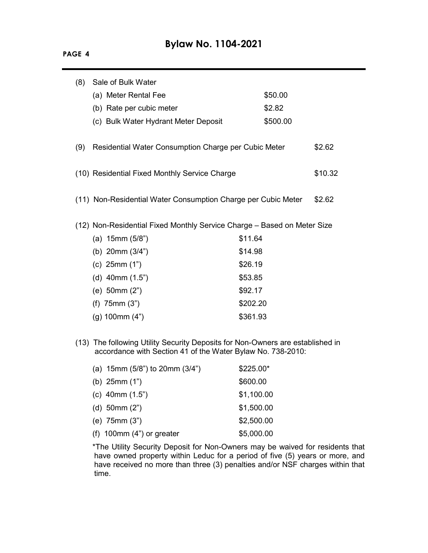| (8) | Sale of Bulk Water                                                                                                                            |            |          |         |
|-----|-----------------------------------------------------------------------------------------------------------------------------------------------|------------|----------|---------|
|     | (a) Meter Rental Fee                                                                                                                          |            | \$50.00  |         |
|     | (b) Rate per cubic meter                                                                                                                      |            | \$2.82   |         |
|     | (c) Bulk Water Hydrant Meter Deposit                                                                                                          |            | \$500.00 |         |
| (9) | Residential Water Consumption Charge per Cubic Meter                                                                                          |            |          | \$2.62  |
|     | (10) Residential Fixed Monthly Service Charge                                                                                                 |            |          | \$10.32 |
|     | (11) Non-Residential Water Consumption Charge per Cubic Meter                                                                                 |            |          | \$2.62  |
|     | (12) Non-Residential Fixed Monthly Service Charge - Based on Meter Size                                                                       |            |          |         |
|     | (a) $15mm(5/8")$                                                                                                                              | \$11.64    |          |         |
|     | (b) $20mm (3/4")$                                                                                                                             | \$14.98    |          |         |
|     | (c) $25mm(1")$                                                                                                                                | \$26.19    |          |         |
|     | (d) $40mm(1.5")$                                                                                                                              | \$53.85    |          |         |
|     | (e) 50mm (2")                                                                                                                                 | \$92.17    |          |         |
|     | $(f)$ 75mm $(3")$                                                                                                                             | \$202.20   |          |         |
|     | $(g)$ 100mm $(4")$                                                                                                                            | \$361.93   |          |         |
|     | (13) The following Utility Security Deposits for Non-Owners are established in<br>accordance with Section 41 of the Water Bylaw No. 738-2010: |            |          |         |
|     | (a) $15mm$ (5/8") to $20mm$ (3/4")                                                                                                            | \$225.00*  |          |         |
|     | (b) $25mm(1")$                                                                                                                                | \$600.00   |          |         |
|     | (c) $40mm(1.5")$                                                                                                                              | \$1,100.00 |          |         |
|     | (d) $50mm(2")$                                                                                                                                | \$1,500.00 |          |         |
|     | (e) 75mm (3")                                                                                                                                 | \$2,500.00 |          |         |
|     | (f) $100$ mm $(4")$ or greater                                                                                                                | \$5,000.00 |          |         |

\*The Utility Security Deposit for Non-Owners may be waived for residents that have owned property within Leduc for a period of five (5) years or more, and have received no more than three (3) penalties and/or NSF charges within that time.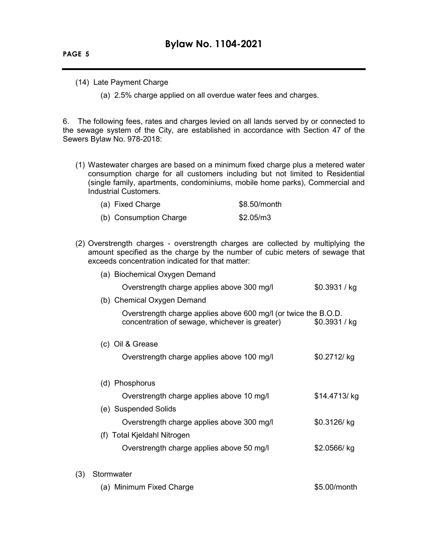**PAGE 5**

 $(3)$ 

- (14) Late Payment Charge
	- (a) 2.5% charge applied on all overdue water fees and charges.

6. The following fees, rates and charges levied on all lands served by or connected to the sewage system of the City, are established in accordance with Section 47 of the Sewers Bylaw No. 978-2018:

(1) Wastewater charges are based on a minimum fixed charge plus a metered water consumption charge for all customers including but not limited to Residential (single family, apartments, condominiums, mobile home parks), Commercial and Industrial Customers.

| (a) Fixed Charge       | \$8.50/month |
|------------------------|--------------|
| (b) Consumption Charge | \$2.05/m3    |

(2) Overstrength charges - overstrength charges are collected by multiplying the amount specified as the charge by the number of cubic meters of sewage that exceeds concentration indicated for that matter:

| (a) Biochemical Oxygen Demand                                                                                     |               |
|-------------------------------------------------------------------------------------------------------------------|---------------|
| Overstrength charge applies above 300 mg/l                                                                        | \$0.3931 / kg |
| (b) Chemical Oxygen Demand                                                                                        |               |
| Overstrength charge applies above 600 mg/l (or twice the B.O.D.<br>concentration of sewage, whichever is greater) | \$0.3931 / kg |
| (c) Oil & Grease                                                                                                  |               |
| Overstrength charge applies above 100 mg/l                                                                        | \$0.2712/kg   |
| (d) Phosphorus                                                                                                    |               |
| Overstrength charge applies above 10 mg/l                                                                         | \$14.4713/kg  |
| (e) Suspended Solids                                                                                              |               |
| Overstrength charge applies above 300 mg/l                                                                        | \$0.3126/kg   |
| (f) Total Kjeldahl Nitrogen                                                                                       |               |
| Overstrength charge applies above 50 mg/l                                                                         | \$2.0566/ kg  |
| Stormwater                                                                                                        |               |
|                                                                                                                   |               |

(a) Minimum Fixed Charge  $$5.00/m$ onth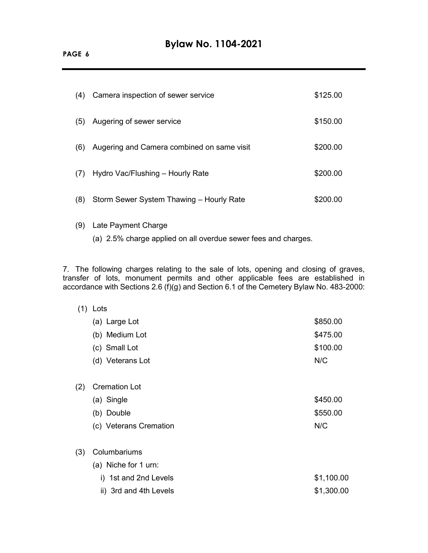| (4) | Camera inspection of sewer service         | \$125.00 |
|-----|--------------------------------------------|----------|
| (5) | Augering of sewer service                  | \$150.00 |
| (6) | Augering and Camera combined on same visit | \$200.00 |
| (7) | Hydro Vac/Flushing – Hourly Rate           | \$200.00 |
| (8) | Storm Sewer System Thawing - Hourly Rate   | \$200.00 |

- (9) Late Payment Charge
	- (a) 2.5% charge applied on all overdue sewer fees and charges.

7. The following charges relating to the sale of lots, opening and closing of graves, transfer of lots, monument permits and other applicable fees are established in accordance with Sections 2.6 (f)(g) and Section 6.1 of the Cemetery Bylaw No. 483-2000:

| (1) | Lots                   |            |
|-----|------------------------|------------|
|     | (a) Large Lot          | \$850.00   |
|     | (b) Medium Lot         | \$475.00   |
|     | (c) Small Lot          | \$100.00   |
|     | (d) Veterans Lot       | N/C        |
| (2) | <b>Cremation Lot</b>   |            |
|     | (a) Single             | \$450.00   |
|     | (b) Double             | \$550.00   |
|     | (c) Veterans Cremation | N/C        |
| (3) | Columbariums           |            |
|     | (a) Niche for 1 urn:   |            |
|     | i) 1st and 2nd Levels  | \$1,100.00 |
|     | ii) 3rd and 4th Levels | \$1,300.00 |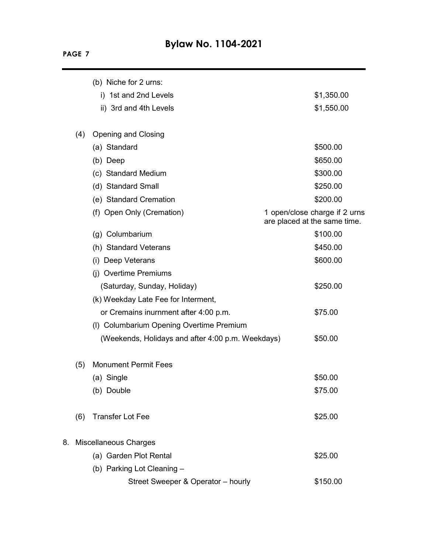|    |     | (b) Niche for 2 urns:                             |                                                               |
|----|-----|---------------------------------------------------|---------------------------------------------------------------|
|    |     | i) 1st and 2nd Levels                             | \$1,350.00                                                    |
|    |     | ii) 3rd and 4th Levels                            | \$1,550.00                                                    |
|    | (4) | <b>Opening and Closing</b>                        |                                                               |
|    |     | (a) Standard                                      | \$500.00                                                      |
|    |     | (b) Deep                                          | \$650.00                                                      |
|    |     | (c) Standard Medium                               | \$300.00                                                      |
|    |     | (d) Standard Small                                | \$250.00                                                      |
|    |     | (e) Standard Cremation                            | \$200.00                                                      |
|    |     | (f) Open Only (Cremation)                         | 1 open/close charge if 2 urns<br>are placed at the same time. |
|    |     | (g) Columbarium                                   | \$100.00                                                      |
|    |     | (h) Standard Veterans                             | \$450.00                                                      |
|    |     | (i) Deep Veterans                                 | \$600.00                                                      |
|    |     | (i) Overtime Premiums                             |                                                               |
|    |     | (Saturday, Sunday, Holiday)                       | \$250.00                                                      |
|    |     | (k) Weekday Late Fee for Interment,               |                                                               |
|    |     | or Cremains inurnment after 4:00 p.m.             | \$75.00                                                       |
|    |     | (I) Columbarium Opening Overtime Premium          |                                                               |
|    |     | (Weekends, Holidays and after 4:00 p.m. Weekdays) | \$50.00                                                       |
|    | (5) | <b>Monument Permit Fees</b>                       |                                                               |
|    |     | (a) Single                                        | \$50.00                                                       |
|    |     | (b) Double                                        | \$75.00                                                       |
|    | (6) | <b>Transfer Lot Fee</b>                           | \$25.00                                                       |
| 8. |     | <b>Miscellaneous Charges</b>                      |                                                               |
|    |     | (a) Garden Plot Rental                            | \$25.00                                                       |
|    |     | (b) Parking Lot Cleaning -                        |                                                               |
|    |     | Street Sweeper & Operator - hourly                | \$150.00                                                      |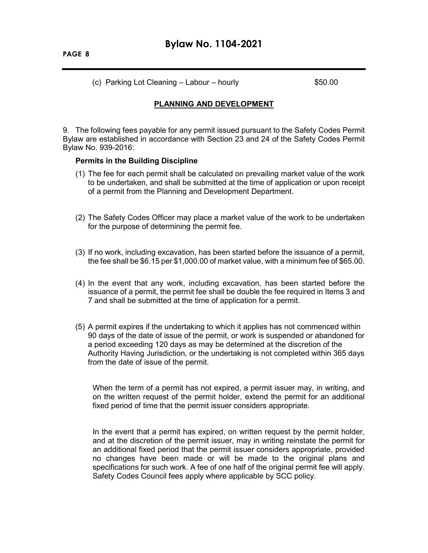(c) Parking Lot Cleaning  $-$  Labour – hourly  $$50.00$ 

### **PLANNING AND DEVELOPMENT**

9. The following fees payable for any permit issued pursuant to the Safety Codes Permit Bylaw are established in accordance with Section 23 and 24 of the Safety Codes Permit Bylaw No. 939-2016:

#### **Permits in the Building Discipline**

- (1) The fee for each permit shall be calculated on prevailing market value of the work to be undertaken, and shall be submitted at the time of application or upon receipt of a permit from the Planning and Development Department.
- (2) The Safety Codes Officer may place a market value of the work to be undertaken for the purpose of determining the permit fee.
- (3) If no work, including excavation, has been started before the issuance of a permit, the fee shall be \$6.15 per \$1,000.00 of market value, with a minimum fee of \$65.00.
- (4) In the event that any work, including excavation, has been started before the issuance of a permit, the permit fee shall be double the fee required in Items 3 and 7 and shall be submitted at the time of application for a permit.
- (5) A permit expires if the undertaking to which it applies has not commenced within 90 days of the date of issue of the permit, or work is suspended or abandoned for a period exceeding 120 days as may be determined at the discretion of the Authority Having Jurisdiction, or the undertaking is not completed within 365 days from the date of issue of the permit.

When the term of a permit has not expired, a permit issuer may, in writing, and on the written request of the permit holder, extend the permit for an additional fixed period of time that the permit issuer considers appropriate.

In the event that a permit has expired, on written request by the permit holder, and at the discretion of the permit issuer, may in writing reinstate the permit for an additional fixed period that the permit issuer considers appropriate, provided no changes have been made or will be made to the original plans and specifications for such work. A fee of one half of the original permit fee will apply. Safety Codes Council fees apply where applicable by SCC policy.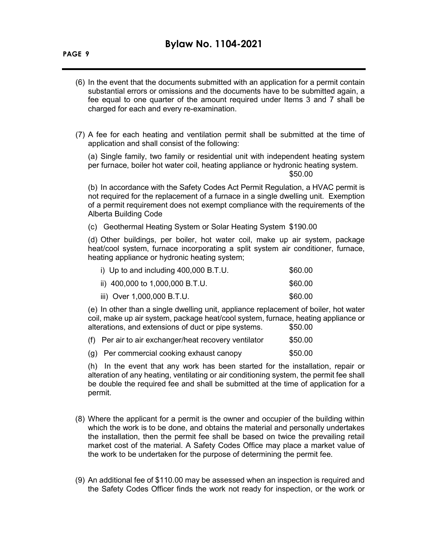- (6) In the event that the documents submitted with an application for a permit contain substantial errors or omissions and the documents have to be submitted again, a fee equal to one quarter of the amount required under Items 3 and 7 shall be charged for each and every re-examination.
- (7) A fee for each heating and ventilation permit shall be submitted at the time of application and shall consist of the following:

(a) Single family, two family or residential unit with independent heating system per furnace, boiler hot water coil, heating appliance or hydronic heating system.

\$50.00

(b) In accordance with the Safety Codes Act Permit Regulation, a HVAC permit is not required for the replacement of a furnace in a single dwelling unit. Exemption of a permit requirement does not exempt compliance with the requirements of the Alberta Building Code

(c) Geothermal Heating System or Solar Heating System \$190.00

(d) Other buildings, per boiler, hot water coil, make up air system, package heat/cool system, furnace incorporating a split system air conditioner, furnace, heating appliance or hydronic heating system;

| i) Up to and including $400,000$ B.T.U. | \$60.00 |
|-----------------------------------------|---------|
| ii) 400,000 to 1,000,000 B.T.U.         | \$60.00 |
| iii) Over 1,000,000 B.T.U.              | \$60.00 |

(e) In other than a single dwelling unit, appliance replacement of boiler, hot water coil, make up air system, package heat/cool system, furnace, heating appliance or alterations, and extensions of duct or pipe systems.  $$50.00$ 

| (f) Per air to air exchanger/heat recovery ventilator | \$50.00 |
|-------------------------------------------------------|---------|
| (g) Per commercial cooking exhaust canopy             | \$50.00 |

(h) In the event that any work has been started for the installation, repair or alteration of any heating, ventilating or air conditioning system, the permit fee shall be double the required fee and shall be submitted at the time of application for a permit.

- (8) Where the applicant for a permit is the owner and occupier of the building within which the work is to be done, and obtains the material and personally undertakes the installation, then the permit fee shall be based on twice the prevailing retail market cost of the material. A Safety Codes Office may place a market value of the work to be undertaken for the purpose of determining the permit fee.
- (9) An additional fee of \$110.00 may be assessed when an inspection is required and the Safety Codes Officer finds the work not ready for inspection, or the work or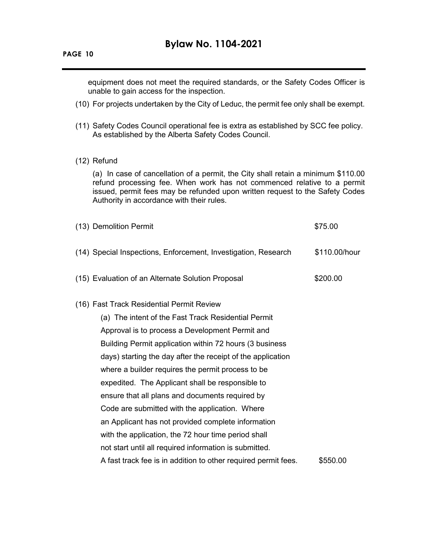equipment does not meet the required standards, or the Safety Codes Officer is unable to gain access for the inspection.

- (10) For projects undertaken by the City of Leduc, the permit fee only shall be exempt.
- (11) Safety Codes Council operational fee is extra as established by SCC fee policy. As established by the Alberta Safety Codes Council.
- (12) Refund

(a) In case of cancellation of a permit, the City shall retain a minimum \$110.00 refund processing fee. When work has not commenced relative to a permit issued, permit fees may be refunded upon written request to the Safety Codes Authority in accordance with their rules.

| (13) Demolition Permit                                         | \$75.00       |
|----------------------------------------------------------------|---------------|
| (14) Special Inspections, Enforcement, Investigation, Research | \$110.00/hour |
| (15) Evaluation of an Alternate Solution Proposal              | \$200.00      |
| (16) Fast Track Residential Permit Review                      |               |
| (a) The intent of the Fast Track Residential Permit            |               |
| Approval is to process a Development Permit and                |               |
| Building Permit application within 72 hours (3 business        |               |
| days) starting the day after the receipt of the application    |               |
| where a builder requires the permit process to be              |               |
| expedited. The Applicant shall be responsible to               |               |
| ensure that all plans and documents required by                |               |
| Code are submitted with the application. Where                 |               |
| an Applicant has not provided complete information             |               |
| with the application, the 72 hour time period shall            |               |
| not start until all required information is submitted.         |               |
| A fast track fee is in addition to other required permit fees. | \$550.00      |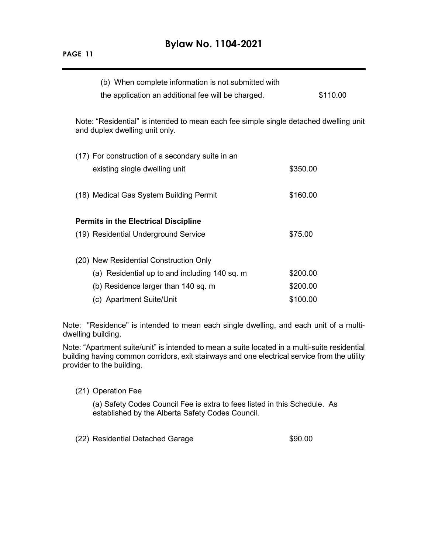# **Bylaw No. 1104-2021**

| ٦.<br>٠<br>╲.<br>u |  |
|--------------------|--|
|                    |  |

| (b) When complete information is not submitted with<br>the application an additional fee will be charged.               | \$110.00 |  |  |
|-------------------------------------------------------------------------------------------------------------------------|----------|--|--|
| Note: "Residential" is intended to mean each fee simple single detached dwelling unit<br>and duplex dwelling unit only. |          |  |  |
| (17) For construction of a secondary suite in an                                                                        |          |  |  |
| existing single dwelling unit                                                                                           | \$350.00 |  |  |
| (18) Medical Gas System Building Permit                                                                                 | \$160.00 |  |  |
| <b>Permits in the Electrical Discipline</b>                                                                             |          |  |  |
| (19) Residential Underground Service                                                                                    | \$75.00  |  |  |
| (20) New Residential Construction Only                                                                                  |          |  |  |
| (a) Residential up to and including 140 sq. m                                                                           | \$200.00 |  |  |
| (b) Residence larger than 140 sq. m                                                                                     | \$200.00 |  |  |
| (c) Apartment Suite/Unit                                                                                                | \$100.00 |  |  |
|                                                                                                                         |          |  |  |

Note: "Residence" is intended to mean each single dwelling, and each unit of a multidwelling building.

Note: "Apartment suite/unit" is intended to mean a suite located in a multi-suite residential building having common corridors, exit stairways and one electrical service from the utility provider to the building.

#### (21) Operation Fee

(a) Safety Codes Council Fee is extra to fees listed in this Schedule. As established by the Alberta Safety Codes Council.

(22) Residential Detached Garage  $$90.00$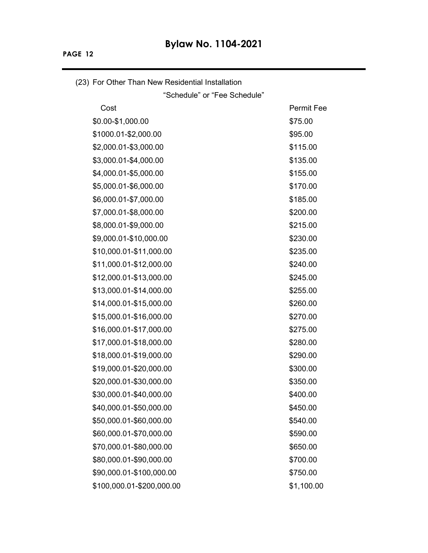(23) For Other Than New Residential Installation "Schedule" or "Fee Schedule" Cost **Permit Fee**  $$0.00-$1,000.00$  \$75.00  $$1000.01 - $2,000.00$  \$95.00 \$2,000.01-\$3,000.00 \$115.00 \$3,000.01-\$4,000.00 \$135.00 \$4,000.01-\$5,000.00 \$155.00 \$5,000.01-\$6,000.00 \$170.00 \$6,000.01-\$7,000.00 \$185.00 \$7,000.01-\$8,000.00 \$200.00 \$200.00 \$8,000.01-\$9,000.00 \$215.00 \$9,000.01-\$10,000.00 \$230.00 \$230.00 \$10,000.01-\$11,000.00 \$235.00 \$11,000.01-\$12,000.00 \$240.00 \$12,000.01-\$13,000.00 \$245.00 \$13,000.01-\$14,000.00 \$255.00 \$14,000.01-\$15,000.00 \$260.00 \$15,000.01-\$16,000.00 \$270.00 \$16,000.01-\$17,000.00 \$275.00 \$17,000.01-\$18,000.00 \$280.00 \$18,000.01-\$19,000.00 \$290.00 \$19,000.01-\$20,000.00 \$300.00 \$300.00 \$20,000.01-\$30,000.00 \$350.00 \$30,000.01-\$40,000.00 \$400.00 \$40,000.01-\$50,000.00 \$450.00 \$50,000.01-\$60,000.00 \$540.00 \$60,000.01-\$70,000.00 \$590.00 \$590.00 \$70,000.01-\$80,000.00 \$650.00 \$650.00 \$80,000.01-\$90,000.00 \$700.00 \$700.00 \$90,000.01-\$100,000.00 \$750.00 \$100,000.01-\$200,000.00 \$1,100.00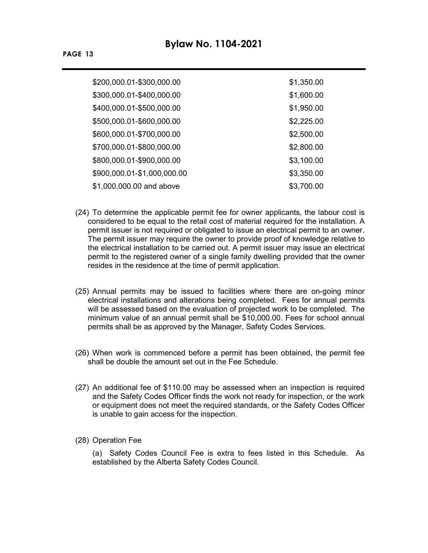| \$200,000.01-\$300,000.00   | \$1,350.00 |
|-----------------------------|------------|
| \$300,000.01-\$400,000.00   | \$1,600.00 |
| \$400,000.01-\$500,000.00   | \$1,950.00 |
| \$500,000.01-\$600,000.00   | \$2,225.00 |
| \$600,000.01-\$700,000.00   | \$2,500.00 |
| \$700,000.01-\$800,000.00   | \$2,800.00 |
| \$800,000.01-\$900,000.00   | \$3,100.00 |
| \$900,000.01-\$1,000,000.00 | \$3,350.00 |
| \$1,000,000.00 and above    | \$3,700.00 |

- (24) To determine the applicable permit fee for owner applicants, the labour cost is considered to be equal to the retail cost of material required for the installation. A permit issuer is not required or obligated to issue an electrical permit to an owner. The permit issuer may require the owner to provide proof of knowledge relative to the electrical installation to be carried out. A permit issuer may issue an electrical permit to the registered owner of a single family dwelling provided that the owner resides in the residence at the time of permit application.
- (25) Annual permits may be issued to facilities where there are on-going minor electrical installations and alterations being completed. Fees for annual permits will be assessed based on the evaluation of projected work to be completed. The minimum value of an annual permit shall be \$10,000.00. Fees for school annual permits shall be as approved by the Manager, Safety Codes Services.
- (26) When work is commenced before a permit has been obtained, the permit fee shall be double the amount set out in the Fee Schedule.
- (27) An additional fee of \$110.00 may be assessed when an inspection is required and the Safety Codes Officer finds the work not ready for inspection, or the work or equipment does not meet the required standards, or the Safety Codes Officer is unable to gain access for the inspection.
- (28) Operation Fee

(a) Safety Codes Council Fee is extra to fees listed in this Schedule. As established by the Alberta Safety Codes Council.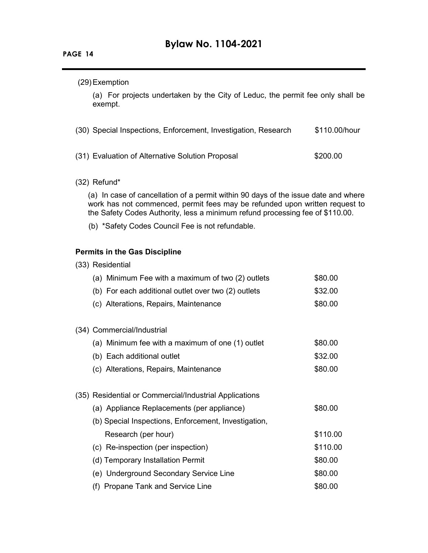## (29)Exemption

(a) For projects undertaken by the City of Leduc, the permit fee only shall be exempt.

| (30) Special Inspections, Enforcement, Investigation, Research | \$110.00/hour |
|----------------------------------------------------------------|---------------|
| (31) Evaluation of Alternative Solution Proposal               | \$200.00      |

(32) Refund\*

(a) In case of cancellation of a permit within 90 days of the issue date and where work has not commenced, permit fees may be refunded upon written request to the Safety Codes Authority, less a minimum refund processing fee of \$110.00.

(b) \*Safety Codes Council Fee is not refundable.

### **Permits in the Gas Discipline**

| (a) Minimum Fee with a maximum of two (2) outlets      | \$80.00  |
|--------------------------------------------------------|----------|
| (b) For each additional outlet over two (2) outlets    | \$32.00  |
| (c) Alterations, Repairs, Maintenance                  | \$80.00  |
| (34) Commercial/Industrial                             |          |
| (a) Minimum fee with a maximum of one (1) outlet       | \$80.00  |
| (b) Each additional outlet                             | \$32.00  |
| (c) Alterations, Repairs, Maintenance                  | \$80.00  |
| (35) Residential or Commercial/Industrial Applications |          |
| (a) Appliance Replacements (per appliance)             | \$80.00  |
| (b) Special Inspections, Enforcement, Investigation,   |          |
| Research (per hour)                                    | \$110.00 |
| (c) Re-inspection (per inspection)                     | \$110.00 |
| (d) Temporary Installation Permit                      | \$80.00  |
| (e) Underground Secondary Service Line                 | \$80.00  |
| (f) Propane Tank and Service Line                      | \$80.00  |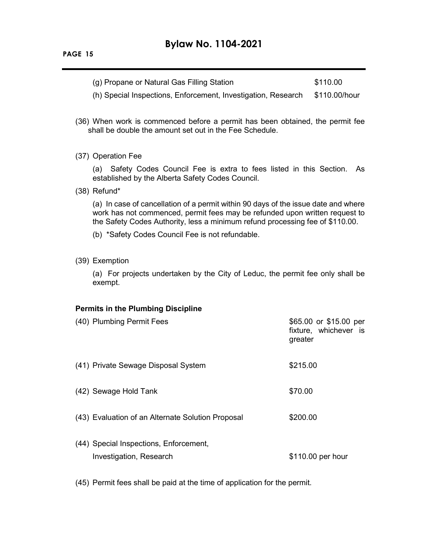(g) Propane or Natural Gas Filling Station  $$110.00$ 

(h) Special Inspections, Enforcement, Investigation, Research \$110.00/hour

- (36) When work is commenced before a permit has been obtained, the permit fee shall be double the amount set out in the Fee Schedule.
- (37) Operation Fee

(a) Safety Codes Council Fee is extra to fees listed in this Section. As established by the Alberta Safety Codes Council.

(38) Refund\*

(a) In case of cancellation of a permit within 90 days of the issue date and where work has not commenced, permit fees may be refunded upon written request to the Safety Codes Authority, less a minimum refund processing fee of \$110.00.

- (b) \*Safety Codes Council Fee is not refundable.
- (39) Exemption

(a) For projects undertaken by the City of Leduc, the permit fee only shall be exempt.

#### **Permits in the Plumbing Discipline**

| (40) Plumbing Permit Fees                                         | \$65.00 or \$15.00 per<br>fixture, whichever is<br>greater |
|-------------------------------------------------------------------|------------------------------------------------------------|
| (41) Private Sewage Disposal System                               | \$215.00                                                   |
| (42) Sewage Hold Tank                                             | \$70.00                                                    |
| (43) Evaluation of an Alternate Solution Proposal                 | \$200.00                                                   |
| (44) Special Inspections, Enforcement,<br>Investigation, Research | \$110.00 per hour                                          |

(45) Permit fees shall be paid at the time of application for the permit.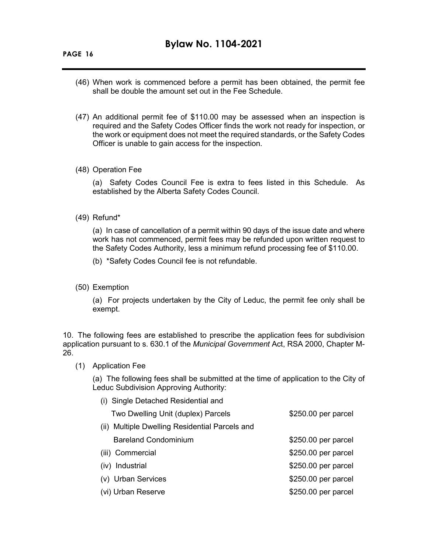- (46) When work is commenced before a permit has been obtained, the permit fee shall be double the amount set out in the Fee Schedule.
- (47) An additional permit fee of \$110.00 may be assessed when an inspection is required and the Safety Codes Officer finds the work not ready for inspection, or the work or equipment does not meet the required standards, or the Safety Codes Officer is unable to gain access for the inspection.
- (48) Operation Fee

(a) Safety Codes Council Fee is extra to fees listed in this Schedule. As established by the Alberta Safety Codes Council.

(49) Refund\*

(a) In case of cancellation of a permit within 90 days of the issue date and where work has not commenced, permit fees may be refunded upon written request to the Safety Codes Authority, less a minimum refund processing fee of \$110.00.

(b) \*Safety Codes Council fee is not refundable.

(50) Exemption

(a) For projects undertaken by the City of Leduc, the permit fee only shall be exempt.

10. The following fees are established to prescribe the application fees for subdivision application pursuant to s. 630.1 of the *Municipal Government* Act, RSA 2000, Chapter M-26.

(1) Application Fee

(a) The following fees shall be submitted at the time of application to the City of Leduc Subdivision Approving Authority:

| (i) Single Detached Residential and            |                     |
|------------------------------------------------|---------------------|
| Two Dwelling Unit (duplex) Parcels             | \$250.00 per parcel |
| (ii) Multiple Dwelling Residential Parcels and |                     |
| <b>Bareland Condominium</b>                    | \$250.00 per parcel |
| (iii) Commercial                               | \$250.00 per parcel |
| (iv) Industrial                                | \$250.00 per parcel |

(v) Urban Services  $$250.00$  per parcel (vi) Urban Reserve **\$250.00 per parcel**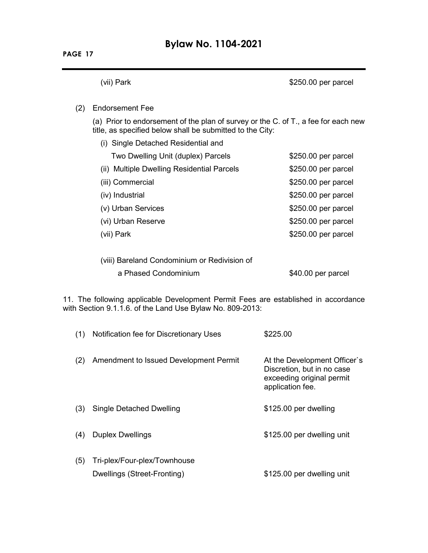(vii) Park **\$250.00 per parcel** 

#### (2) Endorsement Fee

(a) Prior to endorsement of the plan of survey or the C. of T., a fee for each new title, as specified below shall be submitted to the City:

| (i) Single Detached Residential and          |                     |
|----------------------------------------------|---------------------|
| Two Dwelling Unit (duplex) Parcels           | \$250.00 per parcel |
| (ii) Multiple Dwelling Residential Parcels   | \$250.00 per parcel |
| (iii) Commercial                             | \$250.00 per parcel |
| (iv) Industrial                              | \$250.00 per parcel |
| (v) Urban Services                           | \$250.00 per parcel |
| (vi) Urban Reserve                           | \$250.00 per parcel |
| (vii) Park                                   | \$250.00 per parcel |
|                                              |                     |
| (viii) Bareland Condominium or Redivision of |                     |

a Phased Condominium  $$40.00$  per parcel

11. The following applicable Development Permit Fees are established in accordance with Section 9.1.1.6. of the Land Use Bylaw No. 809-2013:

| (1) | Notification fee for Discretionary Uses                     | \$225.00                                                                                                    |
|-----|-------------------------------------------------------------|-------------------------------------------------------------------------------------------------------------|
| (2) | Amendment to Issued Development Permit                      | At the Development Officer's<br>Discretion, but in no case<br>exceeding original permit<br>application fee. |
| (3) | Single Detached Dwelling                                    | \$125.00 per dwelling                                                                                       |
| (4) | <b>Duplex Dwellings</b>                                     | \$125.00 per dwelling unit                                                                                  |
| (5) | Tri-plex/Four-plex/Townhouse<br>Dwellings (Street-Fronting) | \$125.00 per dwelling unit                                                                                  |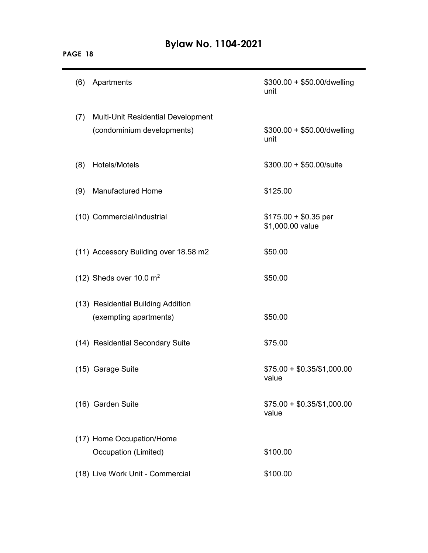| (6) | Apartments                                                              | $$300.00 + $50.00/d$ welling<br>unit      |
|-----|-------------------------------------------------------------------------|-------------------------------------------|
| (7) | <b>Multi-Unit Residential Development</b><br>(condominium developments) | \$300.00 + \$50.00/dwelling<br>unit       |
| (8) | Hotels/Motels                                                           | $$300.00 + $50.00$ /suite                 |
| (9) | <b>Manufactured Home</b>                                                | \$125.00                                  |
|     | (10) Commercial/Industrial                                              | $$175.00 + $0.35$ per<br>\$1,000.00 value |
|     | (11) Accessory Building over 18.58 m2                                   | \$50.00                                   |
|     | (12) Sheds over 10.0 $m2$                                               | \$50.00                                   |
|     | (13) Residential Building Addition<br>(exempting apartments)            | \$50.00                                   |
|     | (14) Residential Secondary Suite                                        | \$75.00                                   |
|     | (15) Garage Suite                                                       | $$75.00 + $0.35/\$1,000.00$<br>value      |
|     | (16) Garden Suite                                                       | $$75.00 + $0.35/\$1,000.00$<br>value      |
|     | (17) Home Occupation/Home<br>Occupation (Limited)                       | \$100.00                                  |
|     | (18) Live Work Unit - Commercial                                        | \$100.00                                  |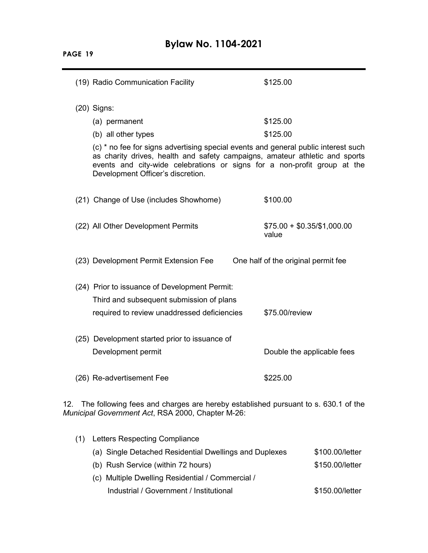**PAGE 19**

|                                                                                                                                               | (19) Radio Communication Facility                                                                                                                                                                                                                                                  | \$125.00                             |
|-----------------------------------------------------------------------------------------------------------------------------------------------|------------------------------------------------------------------------------------------------------------------------------------------------------------------------------------------------------------------------------------------------------------------------------------|--------------------------------------|
|                                                                                                                                               | $(20)$ Signs:                                                                                                                                                                                                                                                                      |                                      |
|                                                                                                                                               | (a) permanent                                                                                                                                                                                                                                                                      | \$125.00                             |
|                                                                                                                                               | (b) all other types                                                                                                                                                                                                                                                                | \$125.00                             |
|                                                                                                                                               | (c) * no fee for signs advertising special events and general public interest such<br>as charity drives, health and safety campaigns, amateur athletic and sports<br>events and city-wide celebrations or signs for a non-profit group at the<br>Development Officer's discretion. |                                      |
|                                                                                                                                               | (21) Change of Use (includes Showhome)                                                                                                                                                                                                                                             | \$100.00                             |
|                                                                                                                                               | (22) All Other Development Permits                                                                                                                                                                                                                                                 | $$75.00 + $0.35/\$1,000.00$<br>value |
|                                                                                                                                               | (23) Development Permit Extension Fee                                                                                                                                                                                                                                              | One half of the original permit fee  |
|                                                                                                                                               | (24) Prior to issuance of Development Permit:                                                                                                                                                                                                                                      |                                      |
|                                                                                                                                               | Third and subsequent submission of plans                                                                                                                                                                                                                                           |                                      |
|                                                                                                                                               | required to review unaddressed deficiencies                                                                                                                                                                                                                                        | \$75.00/review                       |
|                                                                                                                                               | (25) Development started prior to issuance of                                                                                                                                                                                                                                      |                                      |
|                                                                                                                                               | Development permit                                                                                                                                                                                                                                                                 | Double the applicable fees           |
|                                                                                                                                               | (26) Re-advertisement Fee                                                                                                                                                                                                                                                          | \$225.00                             |
| The following fees and charges are hereby established pursuant to s. 630.1 of the<br>12.<br>Municipal Government Act, RSA 2000, Chapter M-26: |                                                                                                                                                                                                                                                                                    |                                      |

| (1) Letters Respecting Compliance                      |                 |
|--------------------------------------------------------|-----------------|
| (a) Single Detached Residential Dwellings and Duplexes | \$100.00/letter |
| (b) Rush Service (within 72 hours)                     | \$150.00/letter |
| (c) Multiple Dwelling Residential / Commercial /       |                 |
| Industrial / Government / Institutional                | \$150.00/letter |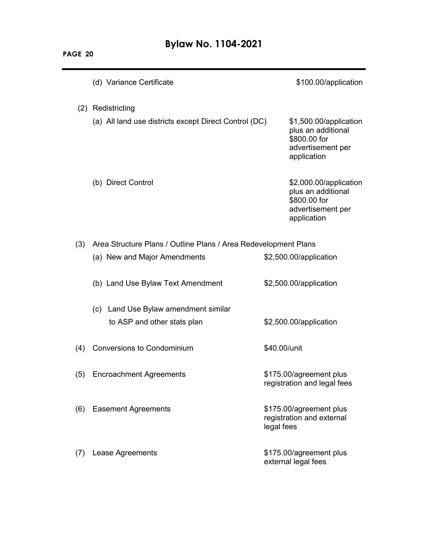|     | (d) Variance Certificate                                               | \$100.00/application                                                                             |
|-----|------------------------------------------------------------------------|--------------------------------------------------------------------------------------------------|
| (2) | Redistricting<br>(a) All land use districts except Direct Control (DC) | \$1,500.00/application<br>plus an additional<br>\$800.00 for<br>advertisement per<br>application |
|     | (b) Direct Control                                                     | \$2,000.00/application<br>plus an additional<br>\$800.00 for<br>advertisement per<br>application |
| (3) | Area Structure Plans / Outline Plans / Area Redevelopment Plans        |                                                                                                  |
|     | (a) New and Major Amendments                                           | \$2,500.00/application                                                                           |
|     | (b) Land Use Bylaw Text Amendment                                      | \$2,500.00/application                                                                           |
|     | (c) Land Use Bylaw amendment similar                                   |                                                                                                  |
|     | to ASP and other stats plan                                            | \$2,500.00/application                                                                           |
| (4) | <b>Conversions to Condominium</b>                                      | \$40.00/unit                                                                                     |
| (5) | <b>Encroachment Agreements</b>                                         | \$175.00/agreement plus<br>registration and legal fees                                           |
| (6) | <b>Easement Agreements</b>                                             | \$175.00/agreement plus<br>registration and external<br>legal fees                               |
| (7) | Lease Agreements                                                       | \$175.00/agreement plus<br>external legal fees                                                   |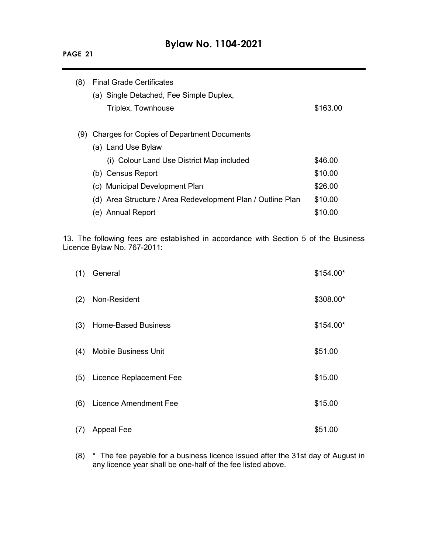# **Bylaw No. 1104-2021**

| (8) | <b>Final Grade Certificates</b>                             |          |  |  |
|-----|-------------------------------------------------------------|----------|--|--|
|     | (a) Single Detached, Fee Simple Duplex,                     |          |  |  |
|     | Triplex, Townhouse                                          | \$163.00 |  |  |
|     |                                                             |          |  |  |
| (9) | Charges for Copies of Department Documents                  |          |  |  |
|     | (a) Land Use Bylaw                                          |          |  |  |
|     | (i) Colour Land Use District Map included                   | \$46.00  |  |  |
|     | (b) Census Report                                           | \$10.00  |  |  |
|     | (c) Municipal Development Plan                              | \$26.00  |  |  |
|     | (d) Area Structure / Area Redevelopment Plan / Outline Plan | \$10.00  |  |  |
|     | (e) Annual Report                                           | \$10.00  |  |  |
|     |                                                             |          |  |  |

13. The following fees are established in accordance with Section 5 of the Business Licence Bylaw No. 767-2011:

| (1) | General                     | $$154.00*$ |
|-----|-----------------------------|------------|
| (2) | Non-Resident                | \$308.00*  |
| (3) | <b>Home-Based Business</b>  | $$154.00*$ |
| (4) | <b>Mobile Business Unit</b> | \$51.00    |
| (5) | Licence Replacement Fee     | \$15.00    |
| (6) | Licence Amendment Fee       | \$15.00    |
| (7) | <b>Appeal Fee</b>           | \$51.00    |

(8) \* The fee payable for a business licence issued after the 31st day of August in any licence year shall be one-half of the fee listed above.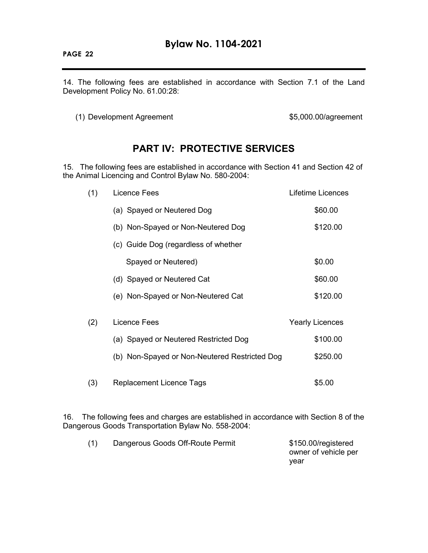14. The following fees are established in accordance with Section 7.1 of the Land Development Policy No. 61.00:28:

(1) Development Agreement **\$5,000.00/agreement** 

## **PART IV: PROTECTIVE SERVICES**

15. The following fees are established in accordance with Section 41 and Section 42 of the Animal Licencing and Control Bylaw No. 580-2004:

| (1) | <b>Licence Fees</b>                                                                                    | Lifetime Licences                              |
|-----|--------------------------------------------------------------------------------------------------------|------------------------------------------------|
|     | (a) Spayed or Neutered Dog                                                                             | \$60.00                                        |
|     | (b) Non-Spayed or Non-Neutered Dog                                                                     | \$120.00                                       |
|     | (c) Guide Dog (regardless of whether                                                                   |                                                |
|     | Spayed or Neutered)                                                                                    | \$0.00                                         |
|     | (d) Spayed or Neutered Cat                                                                             | \$60.00                                        |
|     | (e) Non-Spayed or Non-Neutered Cat                                                                     | \$120.00                                       |
| (2) | Licence Fees<br>(a) Spayed or Neutered Restricted Dog<br>(b) Non-Spayed or Non-Neutered Restricted Dog | <b>Yearly Licences</b><br>\$100.00<br>\$250.00 |
| (3) | <b>Replacement Licence Tags</b>                                                                        | \$5.00                                         |

16. The following fees and charges are established in accordance with Section 8 of the Dangerous Goods Transportation Bylaw No. 558-2004:

| (1) | Dangerous Goods Off-Route Permit | \$150.00/registered  |
|-----|----------------------------------|----------------------|
|     |                                  | owner of vehicle per |
|     |                                  | vear                 |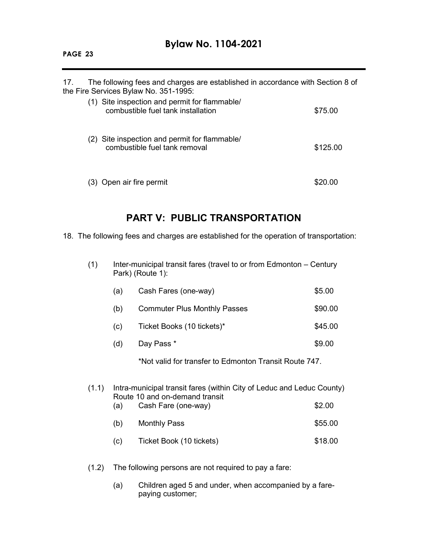## **Bylaw No. 1104-2021**

17. The following fees and charges are established in accordance with Section 8 of the Fire Services Bylaw No. 351-1995: (1) Site inspection and permit for flammable/ combustible fuel tank installation **\$75.00** (2) Site inspection and permit for flammable/ combustible fuel tank removal **\$125.00** (3) Open air fire permit \$20.00

## **PART V: PUBLIC TRANSPORTATION**

18. The following fees and charges are established for the operation of transportation:

(1) Inter-municipal transit fares (travel to or from Edmonton – Century Park) (Route 1):

| (a) | Cash Fares (one-way)                | \$5.00  |
|-----|-------------------------------------|---------|
| (b) | <b>Commuter Plus Monthly Passes</b> | \$90.00 |
| (c) | Ticket Books (10 tickets)*          | \$45.00 |
| (d) | Day Pass *                          | \$9.00  |
|     |                                     |         |

\*Not valid for transfer to Edmonton Transit Route 747.

### (1.1) Intra-municipal transit fares (within City of Leduc and Leduc County) Route 10 and on-demand transit

| (a) | Cash Fare (one-way) | \$2.00  |
|-----|---------------------|---------|
| (b) | Monthly Pass        | \$55.00 |

- (c) Ticket Book (10 tickets) \$18.00
- (1.2) The following persons are not required to pay a fare:
	- (a) Children aged 5 and under, when accompanied by a farepaying customer;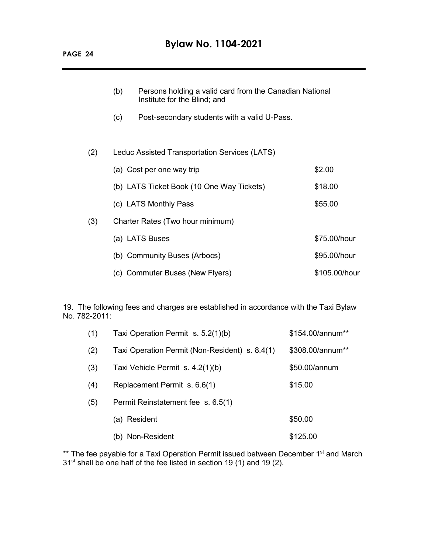|     | (b) | Persons holding a valid card from the Canadian National<br>Institute for the Blind; and |               |
|-----|-----|-----------------------------------------------------------------------------------------|---------------|
|     | (c) | Post-secondary students with a valid U-Pass.                                            |               |
|     |     |                                                                                         |               |
| (2) |     | Leduc Assisted Transportation Services (LATS)                                           |               |
|     |     | (a) Cost per one way trip                                                               | \$2.00        |
|     |     | (b) LATS Ticket Book (10 One Way Tickets)                                               | \$18.00       |
|     |     | (c) LATS Monthly Pass                                                                   | \$55.00       |
| (3) |     | Charter Rates (Two hour minimum)                                                        |               |
|     |     | (a) LATS Buses                                                                          | \$75.00/hour  |
|     |     | (b) Community Buses (Arbocs)                                                            | \$95.00/hour  |
|     |     | (c) Commuter Buses (New Flyers)                                                         | \$105.00/hour |

19. The following fees and charges are established in accordance with the Taxi Bylaw No. 782-2011:

| (1) | Taxi Operation Permit s. 5.2(1)(b)             | \$154.00/annum** |
|-----|------------------------------------------------|------------------|
| (2) | Taxi Operation Permit (Non-Resident) s. 8.4(1) | \$308.00/annum** |
| (3) | Taxi Vehicle Permit s. 4.2(1)(b)               | \$50.00/annum    |
| (4) | Replacement Permit s. 6.6(1)                   | \$15.00          |
| (5) | Permit Reinstatement fee s. 6.5(1)             |                  |
|     | Resident<br>(a)                                | \$50.00          |
|     | Non-Resident<br>(b)                            | \$125.00         |

\*\* The fee payable for a Taxi Operation Permit issued between December 1<sup>st</sup> and March  $31<sup>st</sup>$  shall be one half of the fee listed in section 19 (1) and 19 (2).